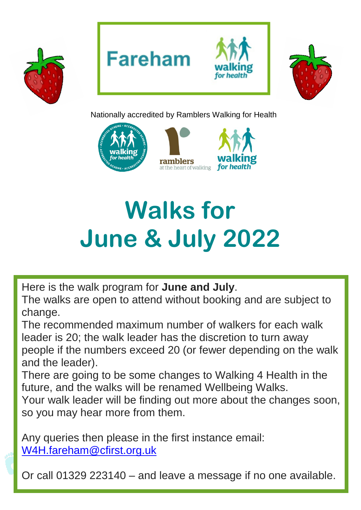







Nationally accredited by Ramblers Walking for Health



# **Walks for June & July 2022**

Here is the walk program for **June and July**.

The walks are open to attend without booking and are subject to change.

The recommended maximum number of walkers for each walk leader is 20; the walk leader has the discretion to turn away people if the numbers exceed 20 (or fewer depending on the walk and the leader).

There are going to be some changes to Walking 4 Health in the future, and the walks will be renamed Wellbeing Walks.

Your walk leader will be finding out more about the changes soon, so you may hear more from them.

Any queries then please in the first instance email: [W4H.fareham@cfirst.org.uk](mailto:W4H.fareham@cfirst.org.uk)

Or call 01329 223140 – and leave a message if no one available.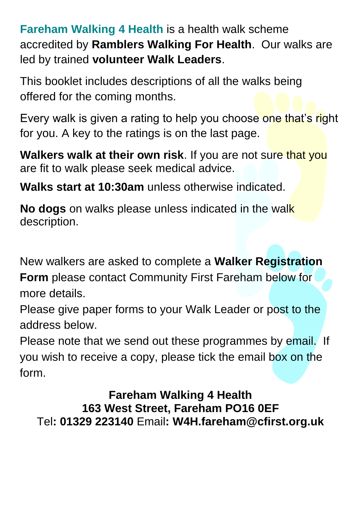**Fareham Walking 4 Health** is a health walk scheme accredited by **Ramblers Walking For Health**. Our walks are led by trained **volunteer Walk Leaders**.

This booklet includes descriptions of all the walks being offered for the coming months.

Every walk is given a rating to help you choose one that's right for you. A key to the ratings is on the last page.

**Walkers walk at their own risk**. If you are not sure that you are fit to walk please seek medical advice.

**Walks start at 10:30am** unless otherwise indicated.

**No dogs** on walks please unless indicated in the walk description.

New walkers are asked to complete a **Walker Registration** 

**Form** please contact Community First Fareham below for more details.

Please give paper forms to your Walk Leader or post to the address below.

Please note that we send out these programmes by email. If you wish to receive a copy, please tick the email box on the form.

**Fareham Walking 4 Health 163 West Street, Fareham PO16 0EF** Tel**: 01329 223140** Email**: W4H.fareham@cfirst.org.uk**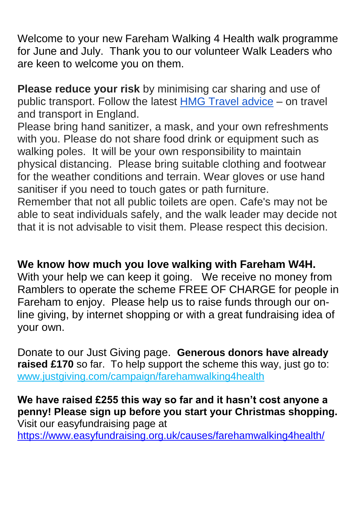Welcome to your new Fareham Walking 4 Health walk programme for June and July. Thank you to our volunteer Walk Leaders who are keen to welcome you on them.

**Please reduce your risk** by minimising car sharing and use of public transport. Follow the latest [HMG Travel advice](https://www.gov.uk/guidance/coronavirus-covid-19-safer-travel-guidance-for-passengers) – on travel and transport in England.

Please bring hand sanitizer, a mask, and your own refreshments with you. Please do not share food drink or equipment such as walking poles. It will be your own responsibility to maintain physical distancing. Please bring suitable clothing and footwear for the weather conditions and terrain. Wear gloves or use hand sanitiser if you need to touch gates or path furniture.

Remember that not all public toilets are open. Cafe's may not be able to seat individuals safely, and the walk leader may decide not that it is not advisable to visit them. Please respect this decision.

# **We know how much you love walking with Fareham W4H.**

With your help we can keep it going. We receive no money from Ramblers to operate the scheme FREE OF CHARGE for people in Fareham to enjoy. Please help us to raise funds through our online giving, by internet shopping or with a great fundraising idea of your own.

Donate to our Just Giving page. **Generous donors have already raised £170** so far. To help support the scheme this way, just go to: [www.justgiving.com/campaign/farehamwalking4health](http://www.justgiving.com/campaign/farehamwalking4health)

**We have raised £255 this way so far and it hasn't cost anyone a penny! Please sign up before you start your Christmas shopping.**  Visit our easyfundraising page at <https://www.easyfundraising.org.uk/causes/farehamwalking4health/>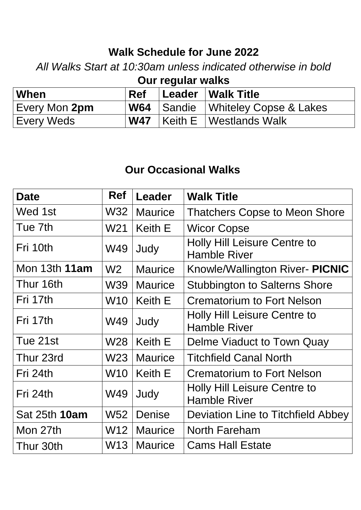# **Walk Schedule for June 2022**

*All Walks Start at 10:30am unless indicated otherwise in bold*

**Our regular walks**

| ∣ When        |  | Ref Leader Walk Title                        |
|---------------|--|----------------------------------------------|
| Every Mon 2pm |  | $\mathsf{W64}$ Sandie Whiteley Copse & Lakes |
| Every Weds    |  | <b>W47</b> Keith E Westlands Walk            |

#### **Our Occasional Walks**

| <b>Date</b>   | <b>Ref</b>      | <b>Leader</b>  | <b>Walk Title</b>                                          |
|---------------|-----------------|----------------|------------------------------------------------------------|
| Wed 1st       | W32             | <b>Maurice</b> | <b>Thatchers Copse to Meon Shore</b>                       |
| Tue 7th       | W <sub>21</sub> | <b>Keith E</b> | <b>Wicor Copse</b>                                         |
| Fri 10th      | W49             | Judy           | <b>Holly Hill Leisure Centre to</b><br><b>Hamble River</b> |
| Mon 13th 11am | W <sub>2</sub>  | <b>Maurice</b> | Knowle/Wallington River- PICNIC                            |
| Thur 16th     | <b>W39</b>      | <b>Maurice</b> | <b>Stubbington to Salterns Shore</b>                       |
| Fri 17th      | <b>W10</b>      | <b>Keith E</b> | <b>Crematorium to Fort Nelson</b>                          |
| Fri 17th      | W49             | Judy           | <b>Holly Hill Leisure Centre to</b><br><b>Hamble River</b> |
| Tue 21st      | W <sub>28</sub> | Keith E        | Delme Viaduct to Town Quay                                 |
| Thur 23rd     | W <sub>23</sub> | <b>Maurice</b> | <b>Titchfield Canal North</b>                              |
| Fri 24th      | <b>W10</b>      | Keith E        | <b>Crematorium to Fort Nelson</b>                          |
| Fri 24th      | W49             | Judy           | Holly Hill Leisure Centre to<br><b>Hamble River</b>        |
| Sat 25th 10am | <b>W52</b>      | Denise         | Deviation Line to Titchfield Abbey                         |
| Mon 27th      | W <sub>12</sub> | <b>Maurice</b> | <b>North Fareham</b>                                       |
| Thur 30th     | W <sub>13</sub> | <b>Maurice</b> | <b>Cams Hall Estate</b>                                    |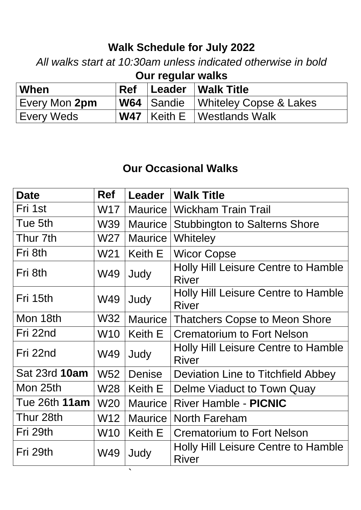# **Walk Schedule for July 2022**

*All walks start at 10:30am unless indicated otherwise in bold*

| Our regular walks |     |  |                                     |  |  |
|-------------------|-----|--|-------------------------------------|--|--|
| When              | Ref |  | Leader   Walk Title                 |  |  |
| Every Mon 2pm     |     |  | W64 Sandie   Whiteley Copse & Lakes |  |  |
| <b>Every Weds</b> |     |  | <b>W47</b> Keith E   Westlands Walk |  |  |

# **Our Occasional Walks**

| <b>Date</b>   | <b>Ref</b>      | Leader         | <b>Walk Title</b>                                          |
|---------------|-----------------|----------------|------------------------------------------------------------|
| Fri 1st       | W17             | <b>Maurice</b> | <b>Wickham Train Trail</b>                                 |
| Tue 5th       | <b>W39</b>      | <b>Maurice</b> | <b>Stubbington to Salterns Shore</b>                       |
| Thur 7th      | W <sub>27</sub> | <b>Maurice</b> | Whiteley                                                   |
| Fri 8th       | W <sub>21</sub> | Keith E        | <b>Wicor Copse</b>                                         |
| Fri 8th       | W49             | Judy           | Holly Hill Leisure Centre to Hamble<br><b>River</b>        |
| Fri 15th      | W49             | Judy           | <b>Holly Hill Leisure Centre to Hamble</b><br><b>River</b> |
| Mon 18th      | W32             | <b>Maurice</b> | <b>Thatchers Copse to Meon Shore</b>                       |
| Fri 22nd      | <b>W10</b>      | <b>Keith E</b> | <b>Crematorium to Fort Nelson</b>                          |
| Fri 22nd      | W49             | Judy           | Holly Hill Leisure Centre to Hamble<br><b>River</b>        |
| Sat 23rd 10am | W <sub>52</sub> | <b>Denise</b>  | Deviation Line to Titchfield Abbey                         |
| Mon 25th      | W <sub>28</sub> | Keith E        | Delme Viaduct to Town Quay                                 |
| Tue 26th 11am | <b>W20</b>      | <b>Maurice</b> | <b>River Hamble - PICNIC</b>                               |
| Thur 28th     | W12             | <b>Maurice</b> | <b>North Fareham</b>                                       |
| Fri 29th      | <b>W10</b>      | Keith E        | <b>Crematorium to Fort Nelson</b>                          |
| Fri 29th      | W49             | Judy           | Holly Hill Leisure Centre to Hamble<br><b>River</b>        |

`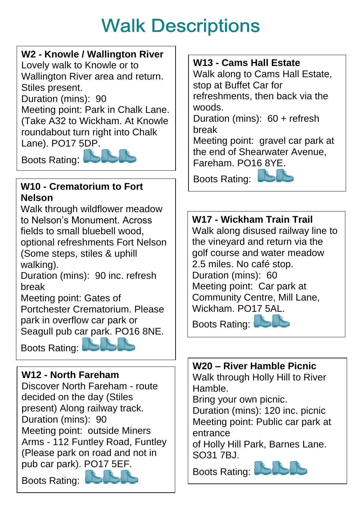# **Walk Descriptions**

#### **W2 - Knowle / Wallington River**

Lovely walk to Knowle or to Wallington River area and return. Stiles present.

Duration (mins): 90

Meeting point: Park in Chalk Lane. (Take A32 to Wickham. At Knowle roundabout turn right into Chalk Lane). PO17 5DP.

Boots Rating:



#### **W10 - Crematorium to Fort Nelson**

Walk through wildflower meadow to Nelson's Monument. Across fields to small bluebell wood, optional refreshments Fort Nelson (Some steps, stiles & uphill walking).

Duration (mins): 90 inc. refresh break

Meeting point: Gates of Portchester Crematorium. Please park in overflow car park or Seagull pub car park. PO16 8NE.

Boots Rating:

# **W12 - North Fareham**

Discover North Fareham - route decided on the day (Stiles present) Along railway track. Duration (mins): 90 Meeting point: outside Miners Arms - 112 Funtley Road, Funtley (Please park on road and not in pub car park). PO17 5EF.

Boots Rating:

#### **W13 - Cams Hall Estate**

Walk along to Cams Hall Estate, stop at Buffet Car for refreshments, then back via the woods.

Duration (mins): 60 + refresh break

Meeting point: gravel car park at the end of Shearwater Avenue, Fareham. [PO16 8YE.](http://postcodefinder.royalmail.com/postcodefinder.aspx?a_id=kxT9SI@3bcZNqO0pXwKfKq3@rOWlMz@QgKEgsZGPd1c=)

Boots Rating:



#### **W17 - Wickham Train Trail** Walk along disused railway line to the vineyard and return via the golf course and water meadow 2.5 miles. No café stop. Duration (mins): 60 Meeting point: Car park at Community Centre, Mill Lane, Wickham. PO17 5AL. Boots Rating:

**W20 – River Hamble Picnic** Walk through Holly Hill to River Hamble.

Bring your own picnic.

Duration (mins): 120 inc. picnic Meeting point: Public car park at entrance

of Holly Hill Park, Barnes Lane. **SO31 7BJ.** 

Boots Rating:

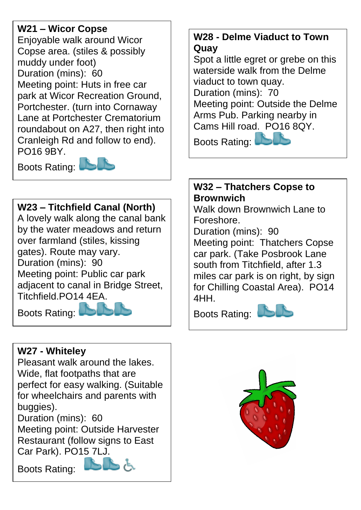#### **W21 – Wicor Copse**

Enjoyable walk around Wicor Copse area. (stiles & possibly muddy under foot) Duration (mins): 60 Meeting point: Huts in free car park at Wicor Recreation Ground, Portchester. (turn into Cornaway Lane at Portchester Crematorium roundabout on A27, then right into Cranleigh Rd and follow to end). PO16 9BY.

Boots Rating:



#### **W23 – Titchfield Canal (North)**

A lovely walk along the canal bank by the water meadows and return over farmland (stiles, kissing gates). Route may vary. Duration (mins): 90 Meeting point: Public car park adjacent to canal in Bridge Street, Titchfield.PO14 4EA.

Boots Rating:



#### **W27 - Whiteley**

Pleasant walk around the lakes. Wide, flat footpaths that are perfect for easy walking. (Suitable for wheelchairs and parents with buggies).

Duration (mins): 60 Meeting point: Outside Harvester

Restaurant (follow signs to East Car Park). PO15 7LJ.

Boots Rating:



#### **W28 - Delme Viaduct to Town Quay**

Spot a little egret or grebe on this waterside walk from the Delme viaduct to town quay. Duration (mins): 70 Meeting point: Outside the Delme Arms Pub. Parking nearby in Cams Hill road. PO16 8QY. Boots Rating:

**W32 – Thatchers Copse to Brownwich**

Walk down Brownwich Lane to Foreshore.

Duration (mins): 90

Meeting point: Thatchers Copse car park. (Take Posbrook Lane south from Titchfield, after 1.3 miles car park is on right, by sign for Chilling Coastal Area). PO14 4HH.

Boots Rating:



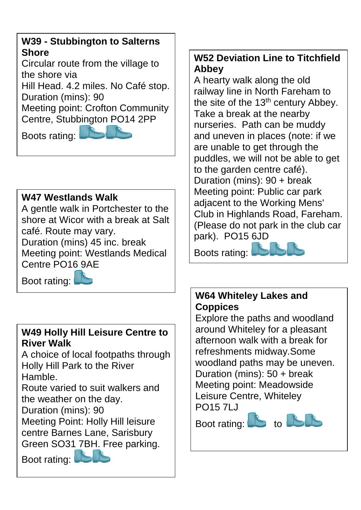#### **W39 - Stubbington to Salterns Shore**

Circular route from the village to the shore via

Hill Head. 4.2 miles. No Café stop. Duration (mins): 90

Meeting point: Crofton Community Centre, Stubbington PO14 2PP

Boots rating:



# **W47 Westlands Walk**

A gentle walk in Portchester to the shore at Wicor with a break at Salt café. Route may vary. Duration (mins) 45 inc. break Meeting point: Westlands Medical Centre PO16 9AE

Boot rating:

# **W49 Holly Hill Leisure Centre to River Walk**

A choice of local footpaths through Holly Hill Park to the River Hamble.

Route varied to suit walkers and the weather on the day.

Duration (mins): 90

Meeting Point: Holly Hill leisure centre Barnes Lane, Sarisbury

Green SO31 7BH. Free parking.

Boot rating:

#### **W52 Deviation Line to Titchfield Abbey**

A hearty walk along the old railway line in North Fareham to the site of the  $13<sup>th</sup>$  century Abbey. Take a break at the nearby nurseries. Path can be muddy and uneven in places (note: if we are unable to get through the puddles, we will not be able to get to the garden centre café). Duration (mins): 90 + break Meeting point: Public car park adjacent to the Working Mens' Club in Highlands Road, Fareham. (Please do not park in the club car park). PO15 6JD

Boots rating:



#### **W64 Whiteley Lakes and Coppices**

Explore the paths and woodland around Whiteley for a pleasant afternoon walk with a break for refreshments midway.Some woodland paths may be uneven. Duration (mins): 50 + break Meeting point: Meadowside Leisure Centre, Whiteley PO15 7LJ

Boot rating:  $\mathbb{B}$  to  $\mathbb{B}$